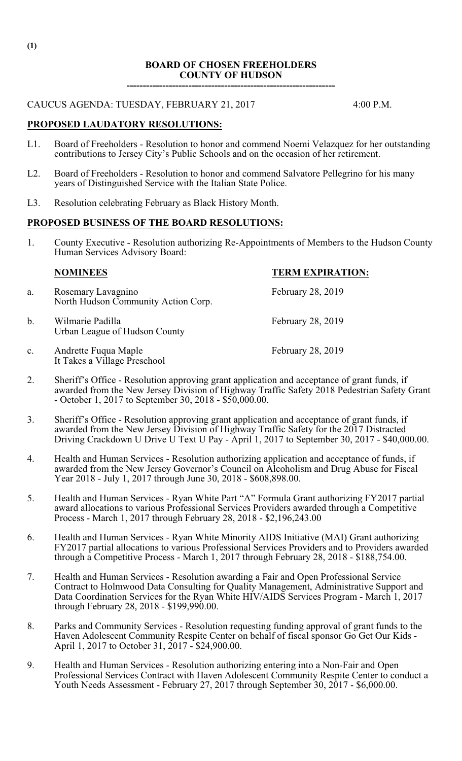## **BOARD OF CHOSEN FREEHOLDERS COUNTY OF HUDSON**

**----------------------------------------------------------------**

# CAUCUS AGENDA: TUESDAY, FEBRUARY 21, 2017 4:00 P.M.

## **PROPOSED LAUDATORY RESOLUTIONS:**

- L1. Board of Freeholders Resolution to honor and commend Noemi Velazquez for her outstanding contributions to Jersey City's Public Schools and on the occasion of her retirement.
- L2. Board of Freeholders Resolution to honor and commend Salvatore Pellegrino for his many years of Distinguished Service with the Italian State Police.
- L3. Resolution celebrating February as Black History Month.

#### **PROPOSED BUSINESS OF THE BOARD RESOLUTIONS:**

1. County Executive - Resolution authorizing Re-Appointments of Members to the Hudson County Human Services Advisory Board:

## **NOMINEES TERM EXPIRATION:**

- a. Rosemary Lavagnino February 28, 2019 North Hudson Community Action Corp.
- b. Wilmarie Padilla February 28, 2019 Urban League of Hudson County
- c. Andrette Fuqua Maple February 28, 2019 It Takes a Village Preschool
- 2. Sheriff's Office Resolution approving grant application and acceptance of grant funds, if awarded from the New Jersey Division of Highway Traffic Safety 2018 Pedestrian Safety Grant - October 1, 2017 to September 30, 2018 - \$50,000.00.
- 3. Sheriff's Office Resolution approving grant application and acceptance of grant funds, if awarded from the New Jersey Division of Highway Traffic Safety for the 2017 Distracted Driving Crackdown U Drive U Text U Pay - April 1, 2017 to September 30, 2017 - \$40,000.00.
- 4. Health and Human Services Resolution authorizing application and acceptance of funds, if awarded from the New Jersey Governor's Council on Alcoholism and Drug Abuse for Fiscal Year 2018 - July 1, 2017 through June 30, 2018 - \$608,898.00.
- 5. Health and Human Services Ryan White Part "A" Formula Grant authorizing FY2017 partial award allocations to various Professional Services Providers awarded through a Competitive Process - March 1, 2017 through February 28, 2018 - \$2,196,243.00
- 6. Health and Human Services Ryan White Minority AIDS Initiative (MAI) Grant authorizing FY2017 partial allocations to various Professional Services Providers and to Providers awarded through a Competitive Process - March 1, 2017 through February 28, 2018 - \$188,754.00.
- 7. Health and Human Services Resolution awarding a Fair and Open Professional Service Contract to Holmwood Data Consulting for Quality Management, Administrative Support and Data Coordination Services for the Ryan White HIV/AIDS Services Program - March 1, 2017 through February 28, 2018 - \$199,990.00.
- 8. Parks and Community Services Resolution requesting funding approval of grant funds to the Haven Adolescent Community Respite Center on behalf of fiscal sponsor Go Get Our Kids - April 1, 2017 to October 31, 2017 - \$24,900.00.
- 9. Health and Human Services Resolution authorizing entering into a Non-Fair and Open Professional Services Contract with Haven Adolescent Community Respite Center to conduct a Youth Needs Assessment - February 27, 2017 through September 30, 2017 - \$6,000.00.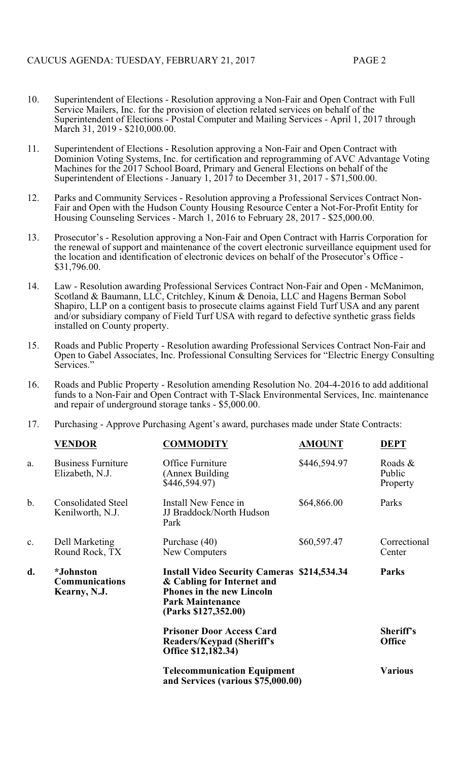- 10. Superintendent of Elections Resolution approving a Non-Fair and Open Contract with Full Service Mailers, Inc. for the provision of election related services on behalf of the Superintendent of Elections - Postal Computer and Mailing Services - April 1, 2017 through March 31, 2019 - \$210,000.00.
- 11. Superintendent of Elections Resolution approving a Non-Fair and Open Contract with Dominion Voting Systems, Inc. for certification and reprogramming of AVC Advantage Voting Machines for the 2017 School Board, Primary and General Elections on behalf of the Superintendent of Elections - January 1, 2017 to December 31, 2017 - \$71,500.00.
- 12. Parks and Community Services Resolution approving a Professional Services Contract Non-Fair and Open with the Hudson County Housing Resource Center a Not-For-Profit Entity for Housing Counseling Services - March 1, 2016 to February 28, 2017 - \$25,000.00.
- 13. Prosecutor's Resolution approving a Non-Fair and Open Contract with Harris Corporation for the renewal of support and maintenance of the covert electronic surveillance equipment used for the location and identification of electronic devices on behalf of the Prosecutor's Office - \$31,796.00.
- 14. Law Resolution awarding Professional Services Contract Non-Fair and Open McManimon, Scotland & Baumann, LLC, Critchley, Kinum & Denoia, LLC and Hagens Berman Sobol Shapiro, LLP on a contigent basis to prosecute claims against Field Turf USA and any parent and/or subsidiary company of Field Turf USA with regard to defective synthetic grass fields installed on County property.
- 15. Roads and Public Property Resolution awarding Professional Services Contract Non-Fair and Open to Gabel Associates, Inc. Professional Consulting Services for "Electric Energy Consulting Services.'
- 16. Roads and Public Property Resolution amending Resolution No. 204-4-2016 to add additional funds to a Non-Fair and Open Contract with T-Slack Environmental Services, Inc. maintenance and repair of underground storage tanks - \$5,000.00.
- 17. Purchasing Approve Purchasing Agent's award, purchases made under State Contracts:

|                | <b>VENDOR</b>                                                            | <b>COMMODITY</b>                                                                                                                                                        | <b>AMOUNT</b> | <b>DEPT</b>                   |
|----------------|--------------------------------------------------------------------------|-------------------------------------------------------------------------------------------------------------------------------------------------------------------------|---------------|-------------------------------|
| a.             | <b>Business Furniture</b><br>Elizabeth, N.J.                             | Office Furniture<br>(Annex Building)<br>\$446,594.97)                                                                                                                   | \$446,594.97  | Roads &<br>Public<br>Property |
| b.             | <b>Consolidated Steel</b><br>Kenilworth, N.J.                            | Install New Fence in<br>JJ Braddock/North Hudson<br>Park                                                                                                                | \$64,866.00   | Parks                         |
| $\mathbf{c}$ . | Dell Marketing<br>Round Rock, TX                                         | Purchase (40)<br>New Computers                                                                                                                                          | \$60,597.47   | Correctional<br>Center        |
| d.             | <i>*Johnston</i><br><b>Communications</b><br>Kearny, N.J.                | <b>Install Video Security Cameras \$214,534.34</b><br>& Cabling for Internet and<br><b>Phones in the new Lincoln</b><br><b>Park Maintenance</b><br>(Parks \$127,352.00) |               | <b>Parks</b>                  |
|                |                                                                          | <b>Prisoner Door Access Card</b><br>Readers/Keypad (Sheriff's<br>Office \$12,182.34)                                                                                    |               | Sheriff's<br><b>Office</b>    |
|                | <b>Telecommunication Equipment</b><br>and Services (various \$75,000.00) |                                                                                                                                                                         |               | <b>Various</b>                |
|                |                                                                          |                                                                                                                                                                         |               |                               |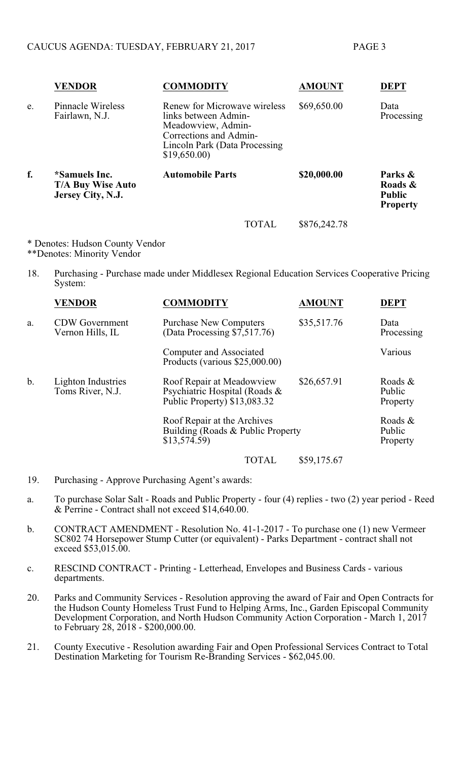|    | <b>VENDOR</b>                                           | <b>COMMODITY</b>                                                                                                                                      |       | <b>AMOUNT</b> | <b>DEPT</b>                                            |
|----|---------------------------------------------------------|-------------------------------------------------------------------------------------------------------------------------------------------------------|-------|---------------|--------------------------------------------------------|
| e. | Pinnacle Wireless<br>Fairlawn, N.J.                     | Renew for Microwave wireless<br>links between Admin-<br>Meadowview, Admin-<br>Corrections and Admin-<br>Lincoln Park (Data Processing)<br>\$19,650.00 |       | \$69,650.00   | Data<br>Processing                                     |
| f. | *Samuels Inc.<br>T/A Buy Wise Auto<br>Jersey City, N.J. | <b>Automobile Parts</b>                                                                                                                               |       | \$20,000.00   | Parks &<br>Roads &<br><b>Public</b><br><b>Property</b> |
|    |                                                         |                                                                                                                                                       | TOTAL | \$876,242.78  |                                                        |

\* Denotes: Hudson County Vendor \*\*Denotes: Minority Vendor

18. Purchasing - Purchase made under Middlesex Regional Education Services Cooperative Pricing System:

|    | <b>VENDOR</b>                             | <b>COMMODITY</b>                                                                            | <b>AMOUNT</b> | <b>DEPT</b>                      |
|----|-------------------------------------------|---------------------------------------------------------------------------------------------|---------------|----------------------------------|
| a. | <b>CDW</b> Government<br>Vernon Hills, IL | <b>Purchase New Computers</b><br>(Data Processing $\sqrt{5,517.76}$ )                       | \$35,517.76   | Data<br>Processing               |
|    |                                           | Computer and Associated<br>Products (various \$25,000.00)                                   |               | Various                          |
| b. | Lighton Industries<br>Toms River, N.J.    | Roof Repair at Meadowview<br>Psychiatric Hospital (Roads &<br>Public Property) $$13,083.32$ | \$26,657.91   | Roads $\&$<br>Public<br>Property |
|    |                                           | Roof Repair at the Archives<br>Building (Roads & Public Property<br>\$13,574.59             |               | Roads &<br>Public<br>Property    |
|    |                                           | <b>TOTAL</b>                                                                                | \$59,175.67   |                                  |

- 19. Purchasing Approve Purchasing Agent's awards:
- a. To purchase Solar Salt Roads and Public Property four (4) replies two (2) year period Reed & Perrine - Contract shall not exceed \$14,640.00.
- b. CONTRACT AMENDMENT Resolution No. 41-1-2017 To purchase one (1) new Vermeer SC802 74 Horsepower Stump Cutter (or equivalent) - Parks Department - contract shall not exceed \$53,015.00.
- c. RESCIND CONTRACT Printing Letterhead, Envelopes and Business Cards various departments.
- 20. Parks and Community Services Resolution approving the award of Fair and Open Contracts for the Hudson County Homeless Trust Fund to Helping Arms, Inc., Garden Episcopal Community Development Corporation, and North Hudson Community Action Corporation - March 1, 2017 to February 28, 2018 - \$200,000.00.
- 21. County Executive Resolution awarding Fair and Open Professional Services Contract to Total Destination Marketing for Tourism Re-Branding Services - \$62,045.00.